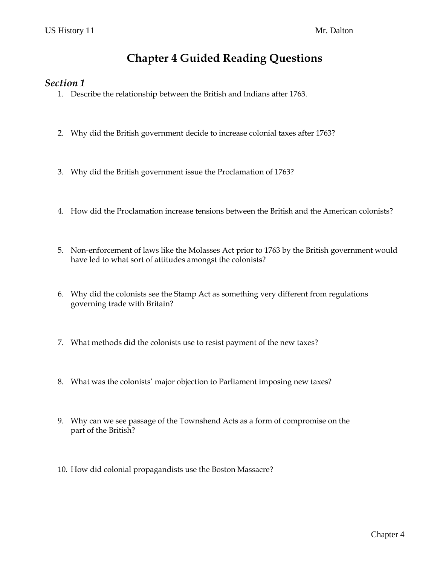# **Chapter 4 Guided Reading Questions**

#### *Section 1*

- 1. Describe the relationship between the British and Indians after 1763.
- 2. Why did the British government decide to increase colonial taxes after 1763?
- 3. Why did the British government issue the Proclamation of 1763?
- 4. How did the Proclamation increase tensions between the British and the American colonists?
- 5. Non-enforcement of laws like the Molasses Act prior to 1763 by the British government would have led to what sort of attitudes amongst the colonists?
- 6. Why did the colonists see the Stamp Act as something very different from regulations governing trade with Britain?
- 7. What methods did the colonists use to resist payment of the new taxes?
- 8. What was the colonists' major objection to Parliament imposing new taxes?
- 9. Why can we see passage of the Townshend Acts as a form of compromise on the part of the British?
- 10. How did colonial propagandists use the Boston Massacre?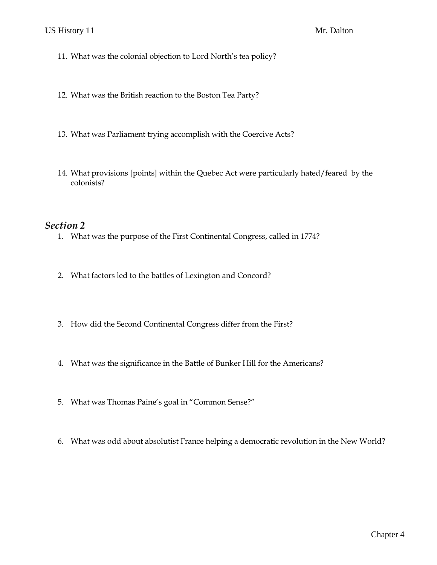- 11. What was the colonial objection to Lord North's tea policy?
- 12. What was the British reaction to the Boston Tea Party?
- 13. What was Parliament trying accomplish with the Coercive Acts?
- 14. What provisions [points] within the Quebec Act were particularly hated/feared by the colonists?

#### *Section 2*

- 1. What was the purpose of the First Continental Congress, called in 1774?
- 2. What factors led to the battles of Lexington and Concord?
- 3. How did the Second Continental Congress differ from the First?
- 4. What was the significance in the Battle of Bunker Hill for the Americans?
- 5. What was Thomas Paine's goal in "Common Sense?"
- 6. What was odd about absolutist France helping a democratic revolution in the New World?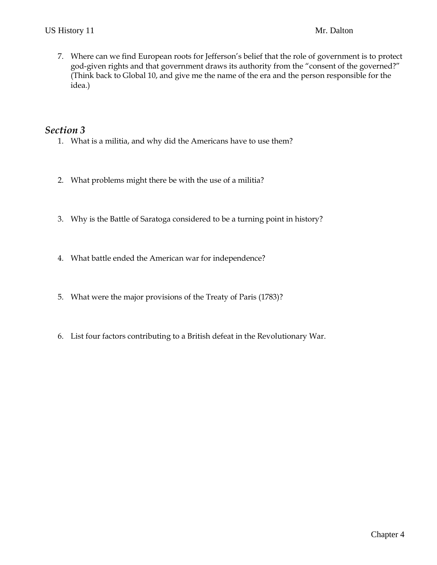7. Where can we find European roots for Jefferson's belief that the role of government is to protect god-given rights and that government draws its authority from the "consent of the governed?" (Think back to Global 10, and give me the name of the era and the person responsible for the idea.)

### *Section 3*

- 1. What is a militia, and why did the Americans have to use them?
- 2. What problems might there be with the use of a militia?
- 3. Why is the Battle of Saratoga considered to be a turning point in history?
- 4. What battle ended the American war for independence?
- 5. What were the major provisions of the Treaty of Paris (1783)?
- 6. List four factors contributing to a British defeat in the Revolutionary War.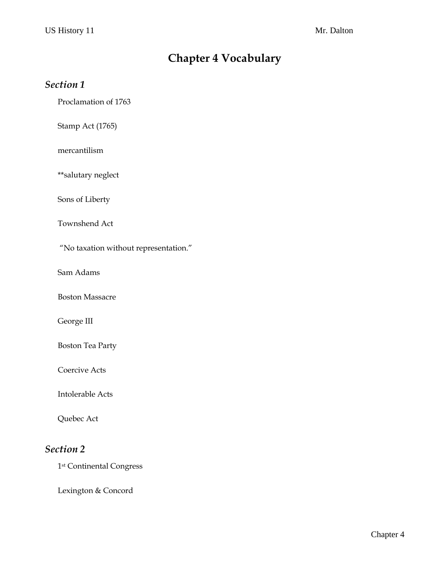# **Chapter 4 Vocabulary**

### *Section 1*

Proclamation of 1763

Stamp Act (1765)

mercantilism

\*\*salutary neglect

Sons of Liberty

Townshend Act

"No taxation without representation."

Sam Adams

Boston Massacre

George III

Boston Tea Party

Coercive Acts

Intolerable Acts

Quebec Act

### *Section 2*

1st Continental Congress

Lexington & Concord